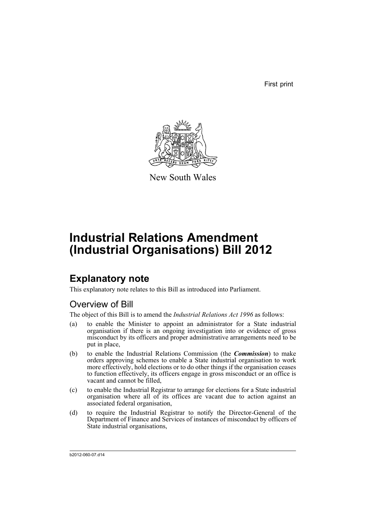First print



New South Wales

# **Industrial Relations Amendment (Industrial Organisations) Bill 2012**

## **Explanatory note**

This explanatory note relates to this Bill as introduced into Parliament.

## Overview of Bill

The object of this Bill is to amend the *Industrial Relations Act 1996* as follows:

- (a) to enable the Minister to appoint an administrator for a State industrial organisation if there is an ongoing investigation into or evidence of gross misconduct by its officers and proper administrative arrangements need to be put in place,
- (b) to enable the Industrial Relations Commission (the *Commission*) to make orders approving schemes to enable a State industrial organisation to work more effectively, hold elections or to do other things if the organisation ceases to function effectively, its officers engage in gross misconduct or an office is vacant and cannot be filled,
- (c) to enable the Industrial Registrar to arrange for elections for a State industrial organisation where all of its offices are vacant due to action against an associated federal organisation,
- (d) to require the Industrial Registrar to notify the Director-General of the Department of Finance and Services of instances of misconduct by officers of State industrial organisations,

b2012-060-07.d14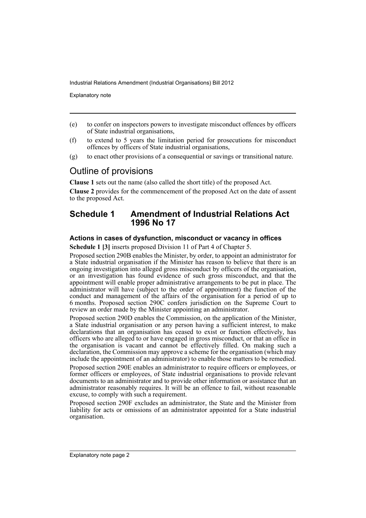Explanatory note

- (e) to confer on inspectors powers to investigate misconduct offences by officers of State industrial organisations,
- (f) to extend to 5 years the limitation period for prosecutions for misconduct offences by officers of State industrial organisations,
- (g) to enact other provisions of a consequential or savings or transitional nature.

## Outline of provisions

**Clause 1** sets out the name (also called the short title) of the proposed Act. **Clause 2** provides for the commencement of the proposed Act on the date of assent to the proposed Act.

### **Schedule 1 Amendment of Industrial Relations Act 1996 No 17**

### **Actions in cases of dysfunction, misconduct or vacancy in offices**

**Schedule 1 [3]** inserts proposed Division 11 of Part 4 of Chapter 5.

Proposed section 290B enables the Minister, by order, to appoint an administrator for a State industrial organisation if the Minister has reason to believe that there is an ongoing investigation into alleged gross misconduct by officers of the organisation, or an investigation has found evidence of such gross misconduct, and that the appointment will enable proper administrative arrangements to be put in place. The administrator will have (subject to the order of appointment) the function of the conduct and management of the affairs of the organisation for a period of up to 6 months. Proposed section 290C confers jurisdiction on the Supreme Court to review an order made by the Minister appointing an administrator.

Proposed section 290D enables the Commission, on the application of the Minister, a State industrial organisation or any person having a sufficient interest, to make declarations that an organisation has ceased to exist or function effectively, has officers who are alleged to or have engaged in gross misconduct, or that an office in the organisation is vacant and cannot be effectively filled. On making such a declaration, the Commission may approve a scheme for the organisation (which may include the appointment of an administrator) to enable those matters to be remedied.

Proposed section 290E enables an administrator to require officers or employees, or former officers or employees, of State industrial organisations to provide relevant documents to an administrator and to provide other information or assistance that an administrator reasonably requires. It will be an offence to fail, without reasonable excuse, to comply with such a requirement.

Proposed section 290F excludes an administrator, the State and the Minister from liability for acts or omissions of an administrator appointed for a State industrial organisation.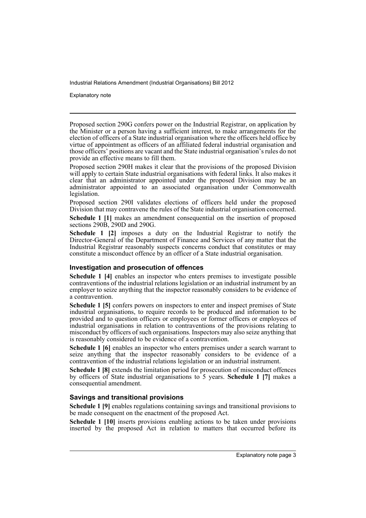Explanatory note

Proposed section 290G confers power on the Industrial Registrar, on application by the Minister or a person having a sufficient interest, to make arrangements for the election of officers of a State industrial organisation where the officers held office by virtue of appointment as officers of an affiliated federal industrial organisation and those officers' positions are vacant and the State industrial organisation's rules do not provide an effective means to fill them.

Proposed section 290H makes it clear that the provisions of the proposed Division will apply to certain State industrial organisations with federal links. It also makes it clear that an administrator appointed under the proposed Division may be an administrator appointed to an associated organisation under Commonwealth legislation.

Proposed section 290I validates elections of officers held under the proposed Division that may contravene the rules of the State industrial organisation concerned. **Schedule 1 [1]** makes an amendment consequential on the insertion of proposed sections 290B, 290D and 290G.

**Schedule 1 [2]** imposes a duty on the Industrial Registrar to notify the Director-General of the Department of Finance and Services of any matter that the Industrial Registrar reasonably suspects concerns conduct that constitutes or may constitute a misconduct offence by an officer of a State industrial organisation.

### **Investigation and prosecution of offences**

**Schedule 1 [4]** enables an inspector who enters premises to investigate possible contraventions of the industrial relations legislation or an industrial instrument by an employer to seize anything that the inspector reasonably considers to be evidence of a contravention.

**Schedule 1 [5]** confers powers on inspectors to enter and inspect premises of State industrial organisations, to require records to be produced and information to be provided and to question officers or employees or former officers or employees of industrial organisations in relation to contraventions of the provisions relating to misconduct by officers of such organisations. Inspectors may also seize anything that is reasonably considered to be evidence of a contravention.

**Schedule 1 [6]** enables an inspector who enters premises under a search warrant to seize anything that the inspector reasonably considers to be evidence of a contravention of the industrial relations legislation or an industrial instrument.

**Schedule 1 [8]** extends the limitation period for prosecution of misconduct offences by officers of State industrial organisations to 5 years. **Schedule 1 [7]** makes a consequential amendment.

### **Savings and transitional provisions**

**Schedule 1 [9]** enables regulations containing savings and transitional provisions to be made consequent on the enactment of the proposed Act.

**Schedule 1 [10]** inserts provisions enabling actions to be taken under provisions inserted by the proposed Act in relation to matters that occurred before its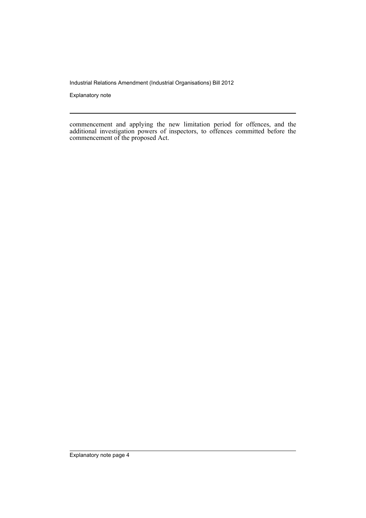Explanatory note

commencement and applying the new limitation period for offences, and the additional investigation powers of inspectors, to offences committed before the commencement of the proposed Act.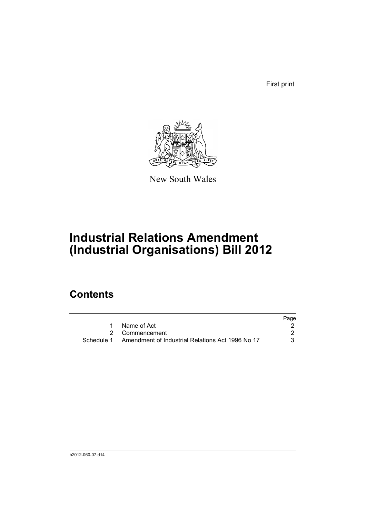First print



New South Wales

# **Industrial Relations Amendment (Industrial Organisations) Bill 2012**

## **Contents**

|            |                                                  | Page |
|------------|--------------------------------------------------|------|
|            | Name of Act                                      |      |
|            | 2 Commencement                                   |      |
| Schedule 1 | Amendment of Industrial Relations Act 1996 No 17 | 3.   |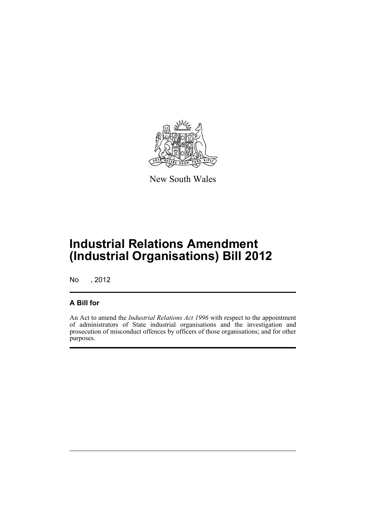

New South Wales

## **Industrial Relations Amendment (Industrial Organisations) Bill 2012**

No , 2012

### **A Bill for**

An Act to amend the *Industrial Relations Act 1996* with respect to the appointment of administrators of State industrial organisations and the investigation and prosecution of misconduct offences by officers of those organisations; and for other purposes.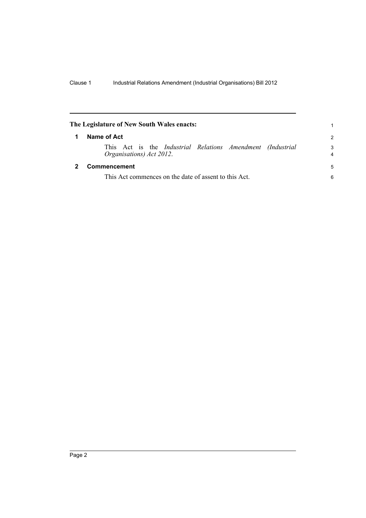<span id="page-7-1"></span><span id="page-7-0"></span>

| The Legislature of New South Wales enacts:                                                    |               |  |  |  |
|-----------------------------------------------------------------------------------------------|---------------|--|--|--|
| Name of Act                                                                                   | $\mathcal{P}$ |  |  |  |
| This Act is the <i>Industrial Relations Amendment (Industrial</i><br>Organisations) Act 2012. | 3<br>4        |  |  |  |
| Commencement                                                                                  | 5             |  |  |  |
| This Act commences on the date of assent to this Act.                                         |               |  |  |  |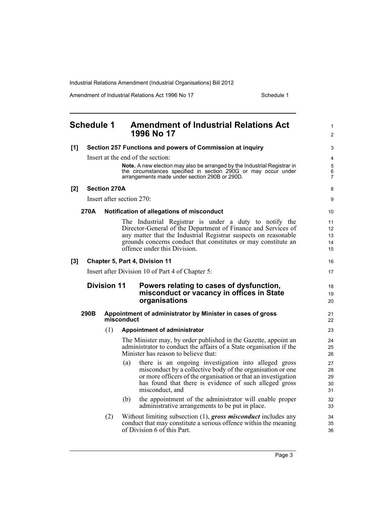Amendment of Industrial Relations Act 1996 No 17 Schedule 1

<span id="page-8-0"></span>

| <b>Schedule 1</b> |                     | <b>Amendment of Industrial Relations Act</b><br>1996 No 17                                                                                                                                                                                                                                   | 1<br>$\overline{2}$            |
|-------------------|---------------------|----------------------------------------------------------------------------------------------------------------------------------------------------------------------------------------------------------------------------------------------------------------------------------------------|--------------------------------|
| [1]               |                     | Section 257 Functions and powers of Commission at inquiry                                                                                                                                                                                                                                    | 3                              |
|                   |                     | Insert at the end of the section:                                                                                                                                                                                                                                                            | 4                              |
|                   |                     | Note. A new election may also be arranged by the Industrial Registrar in<br>the circumstances specified in section 290G or may occur under<br>arrangements made under section 290B or 290D.                                                                                                  | 5<br>$\,6\,$<br>$\overline{7}$ |
| [2]               | <b>Section 270A</b> |                                                                                                                                                                                                                                                                                              | 8                              |
|                   |                     | Insert after section 270:                                                                                                                                                                                                                                                                    | 9                              |
| 270A              |                     | Notification of allegations of misconduct                                                                                                                                                                                                                                                    | 10                             |
|                   |                     | The Industrial Registrar is under a duty to notify the<br>Director-General of the Department of Finance and Services of<br>any matter that the Industrial Registrar suspects on reasonable<br>grounds concerns conduct that constitutes or may constitute an<br>offence under this Division. | 11<br>12<br>13<br>14<br>15     |
| $[3]$             |                     | Chapter 5, Part 4, Division 11                                                                                                                                                                                                                                                               | 16                             |
|                   |                     | Insert after Division 10 of Part 4 of Chapter 5:                                                                                                                                                                                                                                             | 17                             |
|                   | <b>Division 11</b>  | Powers relating to cases of dysfunction,<br>misconduct or vacancy in offices in State<br>organisations                                                                                                                                                                                       | 18<br>19<br>20                 |
| 290B              |                     | Appointment of administrator by Minister in cases of gross<br>misconduct                                                                                                                                                                                                                     | 21<br>22                       |
|                   | (1)                 | <b>Appointment of administrator</b>                                                                                                                                                                                                                                                          | 23                             |
|                   |                     | The Minister may, by order published in the Gazette, appoint an<br>administrator to conduct the affairs of a State organisation if the                                                                                                                                                       | 24<br>25                       |
|                   |                     | Minister has reason to believe that:                                                                                                                                                                                                                                                         | 26                             |
|                   |                     | there is an ongoing investigation into alleged gross<br>(a)<br>misconduct by a collective body of the organisation or one<br>or more officers of the organisation or that an investigation<br>has found that there is evidence of such alleged gross<br>misconduct, and                      | 27<br>28<br>29<br>30<br>31     |
|                   |                     | (b)<br>the appointment of the administrator will enable proper<br>administrative arrangements to be put in place.                                                                                                                                                                            | 32<br>33                       |

Page 3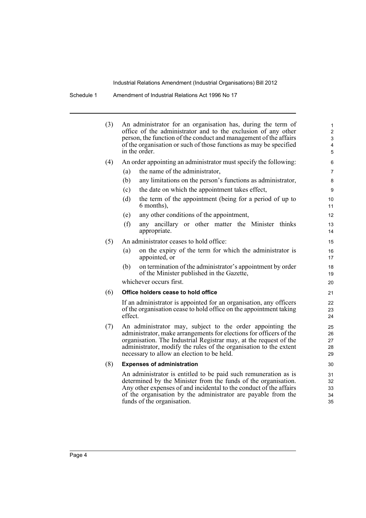Schedule 1 Amendment of Industrial Relations Act 1996 No 17

| (3) | An administrator for an organisation has, during the term of<br>office of the administrator and to the exclusion of any other<br>person, the function of the conduct and management of the affairs<br>of the organisation or such of those functions as may be specified<br>in the order. |                                                                                                                                                                                                                                                                                                                         |                            |  |  |
|-----|-------------------------------------------------------------------------------------------------------------------------------------------------------------------------------------------------------------------------------------------------------------------------------------------|-------------------------------------------------------------------------------------------------------------------------------------------------------------------------------------------------------------------------------------------------------------------------------------------------------------------------|----------------------------|--|--|
| (4) |                                                                                                                                                                                                                                                                                           | An order appointing an administrator must specify the following:                                                                                                                                                                                                                                                        | 6                          |  |  |
|     | (a)                                                                                                                                                                                                                                                                                       | the name of the administrator,                                                                                                                                                                                                                                                                                          | 7                          |  |  |
|     | (b)                                                                                                                                                                                                                                                                                       | any limitations on the person's functions as administrator,                                                                                                                                                                                                                                                             | 8                          |  |  |
|     | (c)                                                                                                                                                                                                                                                                                       | the date on which the appointment takes effect,                                                                                                                                                                                                                                                                         | 9                          |  |  |
|     | (d)                                                                                                                                                                                                                                                                                       | the term of the appointment (being for a period of up to<br>6 months),                                                                                                                                                                                                                                                  | 10<br>11                   |  |  |
|     | (e)                                                                                                                                                                                                                                                                                       | any other conditions of the appointment,                                                                                                                                                                                                                                                                                | 12                         |  |  |
|     | (f)                                                                                                                                                                                                                                                                                       | any ancillary or other matter the Minister thinks<br>appropriate.                                                                                                                                                                                                                                                       | 13<br>14                   |  |  |
| (5) |                                                                                                                                                                                                                                                                                           | An administrator ceases to hold office:                                                                                                                                                                                                                                                                                 | 15                         |  |  |
|     | (a)                                                                                                                                                                                                                                                                                       | on the expiry of the term for which the administrator is<br>appointed, or                                                                                                                                                                                                                                               | 16<br>17                   |  |  |
|     | (b)                                                                                                                                                                                                                                                                                       | on termination of the administrator's appointment by order<br>of the Minister published in the Gazette,                                                                                                                                                                                                                 | 18<br>19                   |  |  |
|     |                                                                                                                                                                                                                                                                                           | whichever occurs first.                                                                                                                                                                                                                                                                                                 | 20                         |  |  |
| (6) |                                                                                                                                                                                                                                                                                           | Office holders cease to hold office                                                                                                                                                                                                                                                                                     | 21                         |  |  |
|     | effect.                                                                                                                                                                                                                                                                                   | If an administrator is appointed for an organisation, any officers<br>of the organisation cease to hold office on the appointment taking                                                                                                                                                                                | 22<br>23<br>24             |  |  |
| (7) |                                                                                                                                                                                                                                                                                           | An administrator may, subject to the order appointing the<br>administrator, make arrangements for elections for officers of the<br>organisation. The Industrial Registrar may, at the request of the<br>administrator, modify the rules of the organisation to the extent<br>necessary to allow an election to be held. | 25<br>26<br>27<br>28<br>29 |  |  |
| (8) |                                                                                                                                                                                                                                                                                           | <b>Expenses of administration</b>                                                                                                                                                                                                                                                                                       | 30                         |  |  |
|     |                                                                                                                                                                                                                                                                                           | An administrator is entitled to be paid such remuneration as is<br>determined by the Minister from the funds of the organisation.<br>Any other expenses of and incidental to the conduct of the affairs<br>of the organisation by the administrator are payable from the<br>funds of the organisation.                  | 31<br>32<br>33<br>34<br>35 |  |  |
|     |                                                                                                                                                                                                                                                                                           |                                                                                                                                                                                                                                                                                                                         |                            |  |  |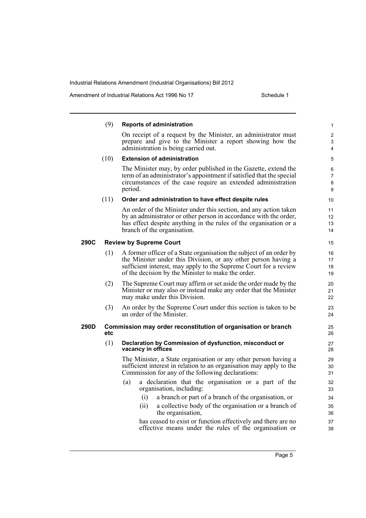Amendment of Industrial Relations Act 1996 No 17 Schedule 1

|      | (9)  | Reports of administration                                                                                                                                                                                                                                       | $\mathbf{1}$             |
|------|------|-----------------------------------------------------------------------------------------------------------------------------------------------------------------------------------------------------------------------------------------------------------------|--------------------------|
|      |      | On receipt of a request by the Minister, an administrator must<br>prepare and give to the Minister a report showing how the<br>administration is being carried out.                                                                                             | $\overline{c}$<br>3<br>4 |
|      | (10) | <b>Extension of administration</b>                                                                                                                                                                                                                              | 5                        |
|      |      | The Minister may, by order published in the Gazette, extend the<br>term of an administrator's appointment if satisfied that the special<br>circumstances of the case require an extended administration<br>period.                                              | 6<br>7<br>8<br>9         |
|      | (11) | Order and administration to have effect despite rules                                                                                                                                                                                                           | 10                       |
|      |      | An order of the Minister under this section, and any action taken<br>by an administrator or other person in accordance with the order,<br>has effect despite anything in the rules of the organisation or a<br>branch of the organisation.                      | 11<br>12<br>13<br>14     |
| 290C |      | <b>Review by Supreme Court</b>                                                                                                                                                                                                                                  | 15                       |
|      | (1)  | A former officer of a State organisation the subject of an order by<br>the Minister under this Division, or any other person having a<br>sufficient interest, may apply to the Supreme Court for a review<br>of the decision by the Minister to make the order. | 16<br>17<br>18<br>19     |
|      | (2)  | The Supreme Court may affirm or set aside the order made by the<br>Minister or may also or instead make any order that the Minister<br>may make under this Division.                                                                                            | 20<br>21<br>22           |
|      | (3)  | An order by the Supreme Court under this section is taken to be<br>an order of the Minister.                                                                                                                                                                    | 23<br>24                 |
| 290D | etc  | Commission may order reconstitution of organisation or branch                                                                                                                                                                                                   | 25<br>26                 |
|      | (1)  | Declaration by Commission of dysfunction, misconduct or<br>vacancy in offices                                                                                                                                                                                   | 27<br>28                 |
|      |      | The Minister, a State organisation or any other person having a<br>sufficient interest in relation to an organisation may apply to the<br>Commission for any of the following declarations:                                                                     | 29<br>30<br>31           |
|      |      | (a)<br>a declaration that the organisation or a part of the<br>organisation, including:                                                                                                                                                                         | 32<br>33                 |
|      |      | a branch or part of a branch of the organisation, or<br>(i)<br>a collective body of the organisation or a branch of<br>(ii)<br>the organisation,                                                                                                                | 34<br>35<br>36           |
|      |      | has ceased to exist or function effectively and there are no<br>effective means under the rules of the organisation or                                                                                                                                          | 37<br>38                 |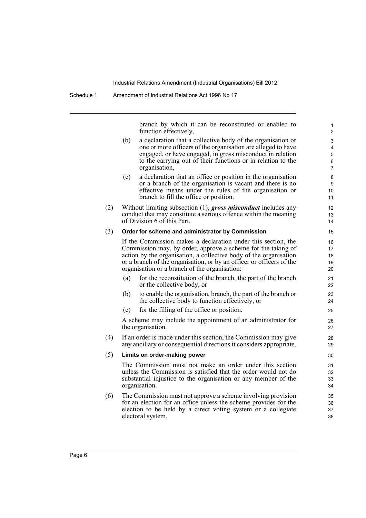branch by which it can be reconstituted or enabled to function effectively,

- (b) a declaration that a collective body of the organisation or one or more officers of the organisation are alleged to have engaged, or have engaged, in gross misconduct in relation to the carrying out of their functions or in relation to the organisation,
- (c) a declaration that an office or position in the organisation or a branch of the organisation is vacant and there is no effective means under the rules of the organisation or branch to fill the office or position.
- (2) Without limiting subsection (1), *gross misconduct* includes any conduct that may constitute a serious offence within the meaning of Division 6 of this Part.

#### (3) **Order for scheme and administrator by Commission**

If the Commission makes a declaration under this section, the Commission may, by order, approve a scheme for the taking of action by the organisation, a collective body of the organisation or a branch of the organisation, or by an officer or officers of the organisation or a branch of the organisation:

- (a) for the reconstitution of the branch, the part of the branch or the collective body, or
- (b) to enable the organisation, branch, the part of the branch or the collective body to function effectively, or
- (c) for the filling of the office or position.

A scheme may include the appointment of an administrator for the organisation.

(4) If an order is made under this section, the Commission may give any ancillary or consequential directions it considers appropriate.

#### (5) **Limits on order-making power**

The Commission must not make an order under this section unless the Commission is satisfied that the order would not do substantial injustice to the organisation or any member of the organisation.

(6) The Commission must not approve a scheme involving provision for an election for an office unless the scheme provides for the election to be held by a direct voting system or a collegiate electoral system.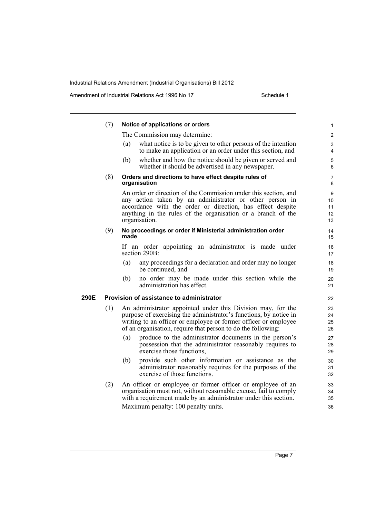Amendment of Industrial Relations Act 1996 No 17 Schedule 1

|      | (7) | Notice of applications or orders                                                                                                                                                                                                                                          | 1                         |
|------|-----|---------------------------------------------------------------------------------------------------------------------------------------------------------------------------------------------------------------------------------------------------------------------------|---------------------------|
|      |     | The Commission may determine:                                                                                                                                                                                                                                             | $\overline{c}$            |
|      |     | what notice is to be given to other persons of the intention<br>(a)<br>to make an application or an order under this section, and                                                                                                                                         | 3<br>4                    |
|      |     | whether and how the notice should be given or served and<br>(b)<br>whether it should be advertised in any newspaper.                                                                                                                                                      | 5<br>6                    |
|      | (8) | Orders and directions to have effect despite rules of<br>organisation                                                                                                                                                                                                     | 7<br>8                    |
|      |     | An order or direction of the Commission under this section, and<br>any action taken by an administrator or other person in<br>accordance with the order or direction, has effect despite<br>anything in the rules of the organisation or a branch of the<br>organisation. | 9<br>10<br>11<br>12<br>13 |
|      | (9) | No proceedings or order if Ministerial administration order<br>made                                                                                                                                                                                                       | 14<br>15                  |
|      |     | If an order appointing an administrator is made under<br>section 290B:                                                                                                                                                                                                    | 16<br>17                  |
|      |     | any proceedings for a declaration and order may no longer<br>(a)<br>be continued, and                                                                                                                                                                                     | 18<br>19                  |
|      |     | no order may be made under this section while the<br>(b)<br>administration has effect.                                                                                                                                                                                    | 20<br>21                  |
| 290E |     | Provision of assistance to administrator                                                                                                                                                                                                                                  | 22                        |
|      | (1) | An administrator appointed under this Division may, for the<br>purpose of exercising the administrator's functions, by notice in<br>writing to an officer or employee or former officer or employee<br>of an organisation, require that person to do the following.       | 23<br>24<br>25<br>26      |
|      |     | produce to the administrator documents in the person's<br>(a)<br>possession that the administrator reasonably requires to<br>exercise those functions,                                                                                                                    | 27<br>28<br>29            |
|      |     | provide such other information or assistance as the<br>(b)<br>administrator reasonably requires for the purposes of the<br>exercise of those functions.                                                                                                                   | 30<br>31<br>32            |
|      | (2) | An officer or employee or former officer or employee of an<br>organisation must not, without reasonable excuse, fail to comply<br>with a requirement made by an administrator under this section.                                                                         | 33<br>34<br>35            |
|      |     | Maximum penalty: 100 penalty units.                                                                                                                                                                                                                                       | 36                        |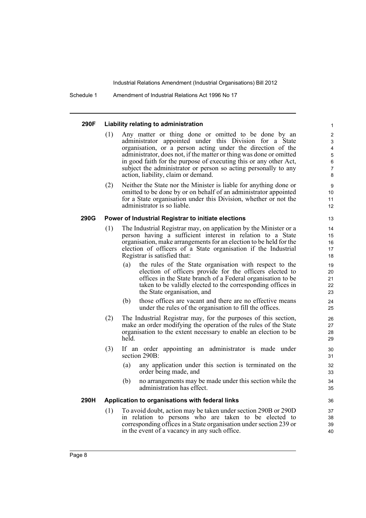Schedule 1 Amendment of Industrial Relations Act 1996 No 17

#### **290F Liability relating to administration**

- (1) Any matter or thing done or omitted to be done by an administrator appointed under this Division for a State organisation, or a person acting under the direction of the administrator, does not, if the matter or thing was done or omitted in good faith for the purpose of executing this or any other Act, subject the administrator or person so acting personally to any action, liability, claim or demand.
- (2) Neither the State nor the Minister is liable for anything done or omitted to be done by or on behalf of an administrator appointed for a State organisation under this Division, whether or not the administrator is so liable.

### **290G Power of Industrial Registrar to initiate elections**

- (1) The Industrial Registrar may, on application by the Minister or a person having a sufficient interest in relation to a State organisation, make arrangements for an election to be held for the election of officers of a State organisation if the Industrial Registrar is satisfied that:
	- (a) the rules of the State organisation with respect to the election of officers provide for the officers elected to offices in the State branch of a Federal organisation to be taken to be validly elected to the corresponding offices in the State organisation, and
	- (b) those offices are vacant and there are no effective means under the rules of the organisation to fill the offices.
- (2) The Industrial Registrar may, for the purposes of this section, make an order modifying the operation of the rules of the State organisation to the extent necessary to enable an election to be held.
- (3) If an order appointing an administrator is made under section 290B:
	- (a) any application under this section is terminated on the order being made, and
	- (b) no arrangements may be made under this section while the administration has effect.

### **290H Application to organisations with federal links**

(1) To avoid doubt, action may be taken under section 290B or 290D in relation to persons who are taken to be elected to corresponding offices in a State organisation under section 239 or in the event of a vacancy in any such office.

## 13

40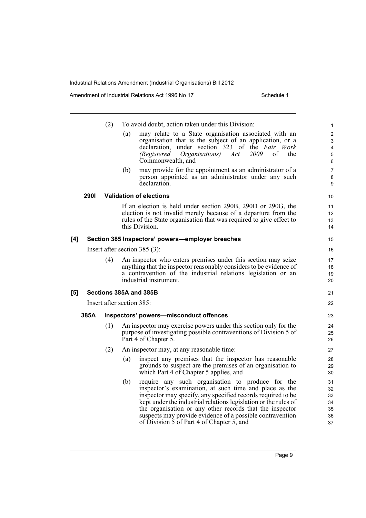Amendment of Industrial Relations Act 1996 No 17 Schedule 1

|     |                                 | (2) |     | To avoid doubt, action taken under this Division:                                                                                                                                                                                                                                                                                                                                                                  | 1                                      |  |
|-----|---------------------------------|-----|-----|--------------------------------------------------------------------------------------------------------------------------------------------------------------------------------------------------------------------------------------------------------------------------------------------------------------------------------------------------------------------------------------------------------------------|----------------------------------------|--|
|     |                                 |     | (a) | may relate to a State organisation associated with an<br>organisation that is the subject of an application, or a<br>under section 323 of the Fair Work<br>declaration,<br>2009<br>of<br><i>(Registered)</i><br><i>Organisations</i> )<br>Act<br>the<br>Commonwealth, and                                                                                                                                          | $\overline{2}$<br>3<br>4<br>5<br>6     |  |
|     |                                 |     | (b) | may provide for the appointment as an administrator of a<br>person appointed as an administrator under any such<br>declaration.                                                                                                                                                                                                                                                                                    | $\overline{7}$<br>8<br>9               |  |
|     | <b>2901</b>                     |     |     | <b>Validation of elections</b>                                                                                                                                                                                                                                                                                                                                                                                     | 10                                     |  |
|     |                                 |     |     | If an election is held under section 290B, 290D or 290G, the<br>election is not invalid merely because of a departure from the<br>rules of the State organisation that was required to give effect to<br>this Division.                                                                                                                                                                                            | 11<br>12<br>13<br>14                   |  |
| [4] |                                 |     |     | Section 385 Inspectors' powers-employer breaches                                                                                                                                                                                                                                                                                                                                                                   | 15                                     |  |
|     | Insert after section $385(3)$ : |     |     |                                                                                                                                                                                                                                                                                                                                                                                                                    |                                        |  |
|     |                                 | (4) |     | An inspector who enters premises under this section may seize<br>anything that the inspector reasonably considers to be evidence of<br>a contravention of the industrial relations legislation or an<br>industrial instrument.                                                                                                                                                                                     | 17<br>18<br>19<br>20                   |  |
| [5] |                                 |     |     | Sections 385A and 385B                                                                                                                                                                                                                                                                                                                                                                                             | 21                                     |  |
|     | Insert after section 385:       |     |     |                                                                                                                                                                                                                                                                                                                                                                                                                    |                                        |  |
|     | 385A                            |     |     | Inspectors' powers-misconduct offences                                                                                                                                                                                                                                                                                                                                                                             | 23                                     |  |
|     |                                 | (1) |     | An inspector may exercise powers under this section only for the<br>purpose of investigating possible contraventions of Division 5 of<br>Part 4 of Chapter 5.                                                                                                                                                                                                                                                      | 24<br>25<br>26                         |  |
|     |                                 | (2) |     | An inspector may, at any reasonable time:                                                                                                                                                                                                                                                                                                                                                                          | 27                                     |  |
|     |                                 |     | (a) | inspect any premises that the inspector has reasonable<br>grounds to suspect are the premises of an organisation to<br>which Part 4 of Chapter 5 applies, and                                                                                                                                                                                                                                                      | 28<br>29<br>30                         |  |
|     |                                 |     | (b) | require any such organisation to produce for the<br>inspector's examination, at such time and place as the<br>inspector may specify, any specified records required to be<br>kept under the industrial relations legislation or the rules of<br>the organisation or any other records that the inspector<br>suspects may provide evidence of a possible contravention<br>of Division 5 of Part 4 of Chapter 5, and | 31<br>32<br>33<br>34<br>35<br>36<br>37 |  |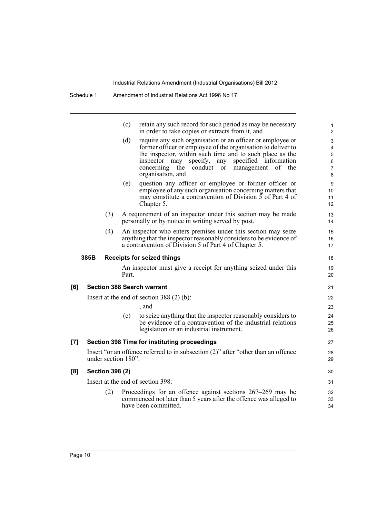|                     |                        | (c)   | retain any such record for such period as may be necessary<br>in order to take copies or extracts from it, and                                                                                                                                                                                                                      | 1<br>$\overline{2}$                     |
|---------------------|------------------------|-------|-------------------------------------------------------------------------------------------------------------------------------------------------------------------------------------------------------------------------------------------------------------------------------------------------------------------------------------|-----------------------------------------|
|                     |                        | (d)   | require any such organisation or an officer or employee or<br>former officer or employee of the organisation to deliver to<br>the inspector, within such time and to such place as the<br>inspector may specify, any<br>specified information<br>conduct<br>management<br>οf<br>concerning<br>the<br>the<br>or<br>organisation, and | 3<br>4<br>5<br>6<br>$\overline{7}$<br>8 |
|                     |                        | (e)   | question any officer or employee or former officer or<br>employee of any such organisation concerning matters that<br>may constitute a contravention of Division 5 of Part 4 of<br>Chapter 5.                                                                                                                                       | 9<br>10<br>11<br>12                     |
|                     | (3)                    |       | A requirement of an inspector under this section may be made<br>personally or by notice in writing served by post.                                                                                                                                                                                                                  | 13<br>14                                |
|                     | (4)                    |       | An inspector who enters premises under this section may seize<br>anything that the inspector reasonably considers to be evidence of<br>a contravention of Division 5 of Part 4 of Chapter 5.                                                                                                                                        | 15<br>16<br>17                          |
|                     | 385B                   |       | <b>Receipts for seized things</b>                                                                                                                                                                                                                                                                                                   | 18                                      |
|                     |                        | Part. | An inspector must give a receipt for anything seized under this                                                                                                                                                                                                                                                                     | 19<br>20                                |
| [6]                 |                        |       | <b>Section 388 Search warrant</b>                                                                                                                                                                                                                                                                                                   | 21                                      |
|                     |                        |       | Insert at the end of section 388 $(2)$ (b):                                                                                                                                                                                                                                                                                         | 22                                      |
|                     |                        |       | , and                                                                                                                                                                                                                                                                                                                               | 23                                      |
|                     |                        | (c)   | to seize anything that the inspector reasonably considers to<br>be evidence of a contravention of the industrial relations<br>legislation or an industrial instrument.                                                                                                                                                              | 24<br>25<br>26                          |
| $\lbrack 7 \rbrack$ |                        |       | Section 398 Time for instituting proceedings                                                                                                                                                                                                                                                                                        | 27                                      |
|                     | under section 180".    |       | Insert "or an offence referred to in subsection (2)" after "other than an offence                                                                                                                                                                                                                                                   | 28<br>29                                |
| [8]                 | <b>Section 398 (2)</b> |       |                                                                                                                                                                                                                                                                                                                                     |                                         |
|                     |                        |       | Insert at the end of section 398:                                                                                                                                                                                                                                                                                                   | 31                                      |
|                     | (2)                    |       | Proceedings for an offence against sections $267-269$ may be<br>commenced not later than 5 years after the offence was alleged to<br>have been committed.                                                                                                                                                                           | 32<br>33<br>34                          |